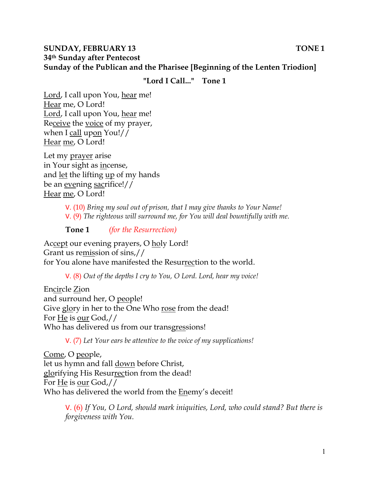### **SUNDAY, FEBRUARY 13** TONE 1 **34th Sunday after Pentecost Sunday of the Publican and the Pharisee [Beginning of the Lenten Triodion]**

#### **"Lord I Call..." Tone 1**

Lord, I call upon You, hear me! Hear me, O Lord! Lord, I call upon You, hear me! Receive the voice of my prayer, when I call upon You!// Hear me, O Lord!

Let my prayer arise in Your sight as incense, and <u>let</u> the lifting <u>up</u> of my hands be an evening sacrifice!// Hear me, O Lord!

> V. (10) *Bring my soul out of prison, that I may give thanks to Your Name!*  V. (9) *The righteous will surround me, for You will deal bountifully with me.*

**Tone 1** *(for the Resurrection)* 

Accept our evening prayers, O holy Lord! Grant us remission of sins,// for You alone have manifested the Resurrection to the world.

V. (8) *Out of the depths I cry to You, O Lord. Lord, hear my voice!* 

Encircle Zion and surround her, O people! Give glory in her to the One Who rose from the dead! For He is our God,// Who has delivered us from our transgressions!

V. (7) *Let Your ears be attentive to the voice of my supplications!*

Come, O people, let us hymn and fall down before Christ, glorifying His Resurrection from the dead! For He is our God,// Who has delivered the world from the Enemy's deceit!

> V. (6) *If You, O Lord, should mark iniquities, Lord, who could stand? But there is forgiveness with You.*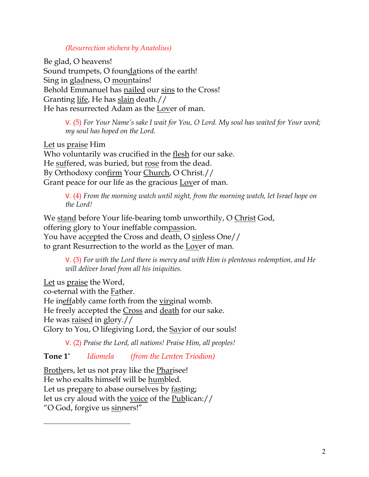#### *(Resurrection stichera by Anatolius)*

Be glad, O heavens! Sound trumpets, O foundations of the earth! Sing in gladness, O mountains! Behold Emmanuel has nailed our sins to the Cross! Granting life, He has slain death.// He has resurrected Adam as the Lover of man.

> V. (5) *For Your Name's sake I wait for You, O Lord. My soul has waited for Your word; my soul has hoped on the Lord.*

Let us praise Him Who voluntarily was crucified in the flesh for our sake. He suffered, was buried, but rose from the dead. By Orthodoxy confirm Your Church, O Christ.// Grant peace for our life as the gracious Lover of man.

> V. (4) *From the morning watch until night, from the morning watch, let Israel hope on the Lord!*

We stand before Your life-bearing tomb unworthily, O Christ God, offering glory to Your ineffable compassion. You have accepted the Cross and death, O sinless One// to grant Resurrection to the world as the Lover of man.

V. (3) *For with the Lord there is mercy and with Him is plenteous redemption, and He will deliver Israel from all his iniquities.*

Let us praise the Word, co-eternal with the Father. He ineffably came forth from the virginal womb. He freely accepted the Cross and death for our sake. He was raised in glory.// Glory to You, O lifegiving Lord, the Savior of our souls!

V. (2) *Praise the Lord, all nations! Praise Him, all peoples!*

**Tone 1\*** *Idiomela (from the Lenten Triodion)*

Brothers, let us not pray like the Pharisee! He who exalts himself will be humbled. Let us prepare to abase ourselves by fasting; let us cry aloud with the voice of the Publican:// "O God, forgive us sinners!"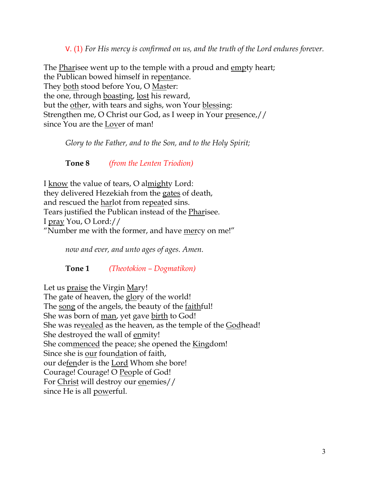V. (1) *For His mercy is confirmed on us, and the truth of the Lord endures forever.* 

The Pharisee went up to the temple with a proud and empty heart; the Publican bowed himself in repentance. They both stood before You, O Master: the one, through boasting, lost his reward, but the other, with tears and sighs, won Your blessing: Strengthen me, O Christ our God, as I weep in Your presence,// since You are the Lover of man!

*Glory to the Father, and to the Son, and to the Holy Spirit;*

**Tone 8** *(from the Lenten Triodion)*

I know the value of tears, O almighty Lord: they delivered Hezekiah from the gates of death, and rescued the harlot from repeated sins. Tears justified the Publican instead of the Pharisee. I pray You, O Lord:// "Number me with the former, and have mercy on me!"

*now and ever, and unto ages of ages. Amen.* 

**Tone 1** *(Theotokion – Dogmatikon)*

Let us praise the Virgin Mary! The gate of heaven, the glory of the world! The song of the angels, the beauty of the faithful! She was born of man, yet gave birth to God! She was revealed as the heaven, as the temple of the Godhead! She destroyed the wall of enmity! She commenced the peace; she opened the Kingdom! Since she is our foundation of faith, our defender is the Lord Whom she bore! Courage! Courage! O People of God! For Christ will destroy our enemies// since He is all powerful.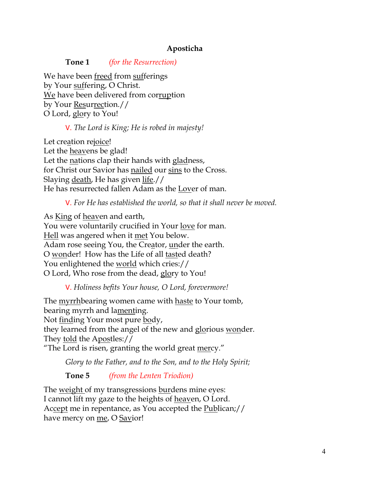## **Aposticha**

**Tone 1** *(for the Resurrection)*

We have been freed from sufferings by Your suffering, O Christ. We have been delivered from corruption by Your Resurrection.// O Lord, glory to You!

### V. *The Lord is King; He is robed in majesty!*

Let creation rejoice! Let the heavens be glad! Let the nations clap their hands with gladness, for Christ our Savior has nailed our sins to the Cross. Slaying death, He has given life.// He has resurrected fallen Adam as the Lover of man.

V. *For He has established the world, so that it shall never be moved.*

As King of heaven and earth, You were voluntarily crucified in Your love for man. Hell was angered when it met You below. Adam rose seeing You, the Creator, under the earth. O wonder! How has the Life of all tasted death? You enlightened the world which cries:// O Lord, Who rose from the dead, glory to You!

## V. *Holiness befits Your house, O Lord, forevermore!*

The myrrhbearing women came with haste to Your tomb, bearing myrrh and lamenting. Not finding Your most pure body, they learned from the angel of the new and glorious wonder. They told the Apostles:// "The Lord is risen, granting the world great mercy."

*Glory to the Father, and to the Son, and to the Holy Spirit;*

**Tone 5** *(from the Lenten Triodion)*

The weight of my transgressions burdens mine eyes: I cannot lift my gaze to the heights of heaven, O Lord. Accept me in repentance, as You accepted the Publican;// have mercy on me, O Savior!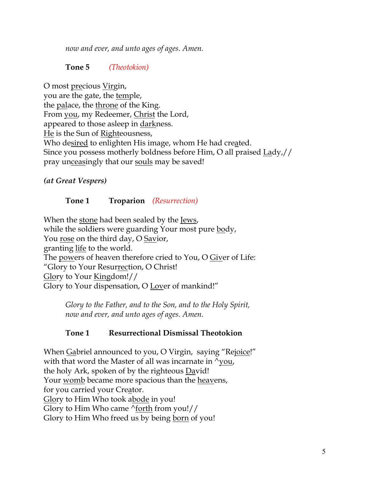*now and ever, and unto ages of ages. Amen.*

## **Tone 5** *(Theotokion)*

O most precious Virgin, you are the gate, the temple, the <u>palace</u>, the <u>throne</u> of the King. From you, my Redeemer, Christ the Lord, appeared to those asleep in <u>dark</u>ness. He is the Sun of Righteousness, Who desired to enlighten His image, whom He had created. Since you possess motherly boldness before Him, O all praised Lady,// pray unceasingly that our souls may be saved!

*(at Great Vespers)*

# **Tone 1 Troparion** *(Resurrection)*

When the stone had been sealed by the Jews, while the soldiers were guarding Your most pure body, You rose on the third day, O Savior, granting life to the world. The powers of heaven therefore cried to You, O Giver of Life: "Glory to Your Resurrection, O Christ! Glory to Your Kingdom!// Glory to Your dispensation, O Lover of mankind!"

> *Glory to the Father, and to the Son, and to the Holy Spirit, now and ever, and unto ages of ages. Amen.*

# **Tone 1 Resurrectional Dismissal Theotokion**

When Gabriel announced to you, O Virgin, saying "Rejoice!" with that word the Master of all was incarnate in  $\gamma$ you, the holy Ark, spoken of by the righteous David! Your <u>womb</u> became more spacious than the <u>heavens</u>, for you carried your Creator. Glory to Him Who took abode in you! Glory to Him Who came ^forth from you!// Glory to Him Who freed us by being born of you!